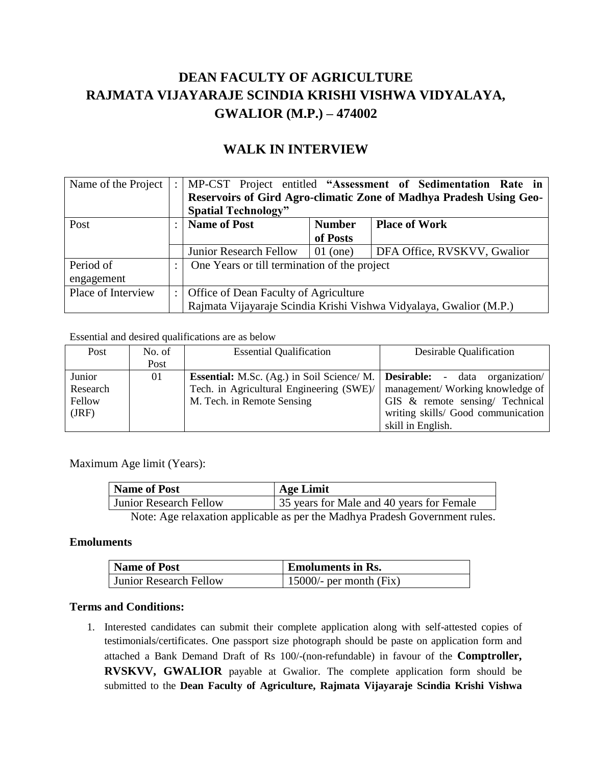## **DEAN FACULTY OF AGRICULTURE RAJMATA VIJAYARAJE SCINDIA KRISHI VISHWA VIDYALAYA, GWALIOR (M.P.) – 474002**

## **WALK IN INTERVIEW**

| Name of the Project | $\ddot{\cdot}$ |                                                                    |            | MP-CST Project entitled "Assessment of Sedimentation Rate in |  |
|---------------------|----------------|--------------------------------------------------------------------|------------|--------------------------------------------------------------|--|
|                     |                | Reservoirs of Gird Agro-climatic Zone of Madhya Pradesh Using Geo- |            |                                                              |  |
|                     |                | <b>Spatial Technology"</b>                                         |            |                                                              |  |
| Post                |                | <b>Name of Post</b><br><b>Place of Work</b><br><b>Number</b>       |            |                                                              |  |
|                     |                |                                                                    | of Posts   |                                                              |  |
|                     |                | <b>Junior Research Fellow</b>                                      | $01$ (one) | DFA Office, RVSKVV, Gwalior                                  |  |
| Period of           | ٠              | One Years or till termination of the project                       |            |                                                              |  |
| engagement          |                |                                                                    |            |                                                              |  |
| Place of Interview  | $\therefore$ 1 | Office of Dean Faculty of Agriculture                              |            |                                                              |  |
|                     |                | Rajmata Vijayaraje Scindia Krishi Vishwa Vidyalaya, Gwalior (M.P.) |            |                                                              |  |

Essential and desired qualifications are as below

| Post     | No. of | <b>Essential Qualification</b>                                                             | Desirable Qualification            |
|----------|--------|--------------------------------------------------------------------------------------------|------------------------------------|
|          | Post   |                                                                                            |                                    |
| Junior   | 01     | <b>Essential:</b> M.Sc. (Ag.) in Soil Science/ M.   <b>Desirable:</b> - data organization/ |                                    |
| Research |        | Tech. in Agricultural Engineering (SWE)/                                                   | management/Working knowledge of    |
| Fellow   |        | M. Tech. in Remote Sensing                                                                 | GIS & remote sensing/ Technical    |
| (JRF)    |        |                                                                                            | writing skills/ Good communication |
|          |        |                                                                                            | skill in English.                  |

Maximum Age limit (Years):

| <b>Name of Post</b>                                                        | <b>Age Limit</b>                          |  |  |  |
|----------------------------------------------------------------------------|-------------------------------------------|--|--|--|
| <b>Junior Research Fellow</b>                                              | 35 years for Male and 40 years for Female |  |  |  |
| Note: Age relaxation applicable as per the Madhya Pradesh Government rules |                                           |  |  |  |

Note: Age relaxation applicable as per the Madhya Pradesh Government rules.

### **Emoluments**

| Name of Post                  | <b>Emoluments in Rs.</b>  |  |  |
|-------------------------------|---------------------------|--|--|
| <b>Junior Research Fellow</b> | 15000/- per month $(Fix)$ |  |  |

### **Terms and Conditions:**

1. Interested candidates can submit their complete application along with self-attested copies of testimonials/certificates. One passport size photograph should be paste on application form and attached a Bank Demand Draft of Rs 100/-(non-refundable) in favour of the **Comptroller, RVSKVV, GWALIOR** payable at Gwalior. The complete application form should be submitted to the **Dean Faculty of Agriculture, Rajmata Vijayaraje Scindia Krishi Vishwa**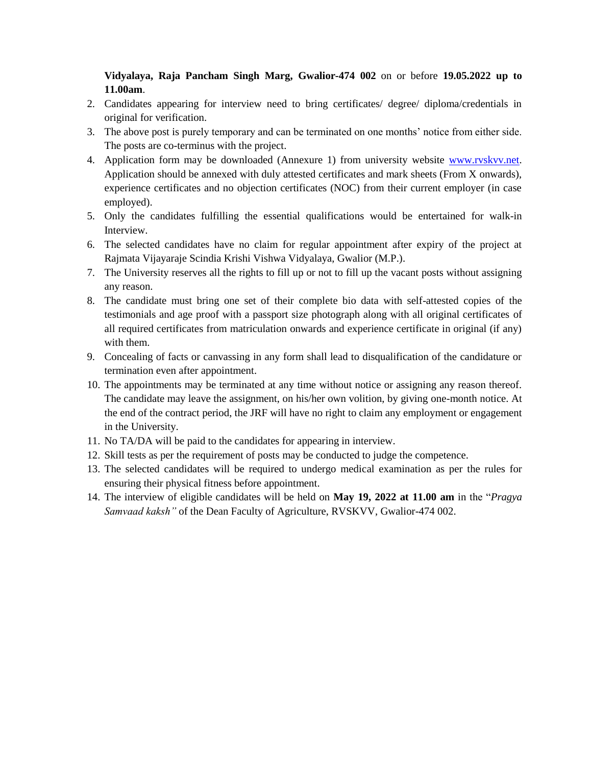**Vidyalaya, Raja Pancham Singh Marg, Gwalior-474 002** on or before **19.05.2022 up to 11.00am**.

- 2. Candidates appearing for interview need to bring certificates/ degree/ diploma/credentials in original for verification.
- 3. The above post is purely temporary and can be terminated on one months' notice from either side. The posts are co-terminus with the project.
- 4. Application form may be downloaded (Annexure 1) from university website [www.rvskvv.net.](http://www.rvskvv.net/) Application should be annexed with duly attested certificates and mark sheets (From X onwards), experience certificates and no objection certificates (NOC) from their current employer (in case employed).
- 5. Only the candidates fulfilling the essential qualifications would be entertained for walk-in Interview.
- 6. The selected candidates have no claim for regular appointment after expiry of the project at Rajmata Vijayaraje Scindia Krishi Vishwa Vidyalaya, Gwalior (M.P.).
- 7. The University reserves all the rights to fill up or not to fill up the vacant posts without assigning any reason.
- 8. The candidate must bring one set of their complete bio data with self-attested copies of the testimonials and age proof with a passport size photograph along with all original certificates of all required certificates from matriculation onwards and experience certificate in original (if any) with them.
- 9. Concealing of facts or canvassing in any form shall lead to disqualification of the candidature or termination even after appointment.
- 10. The appointments may be terminated at any time without notice or assigning any reason thereof. The candidate may leave the assignment, on his/her own volition, by giving one-month notice. At the end of the contract period, the JRF will have no right to claim any employment or engagement in the University.
- 11. No TA/DA will be paid to the candidates for appearing in interview.
- 12. Skill tests as per the requirement of posts may be conducted to judge the competence.
- 13. The selected candidates will be required to undergo medical examination as per the rules for ensuring their physical fitness before appointment.
- 14. The interview of eligible candidates will be held on **May 19, 2022 at 11.00 am** in the "*Pragya Samvaad kaksh"* of the Dean Faculty of Agriculture, RVSKVV, Gwalior-474 002.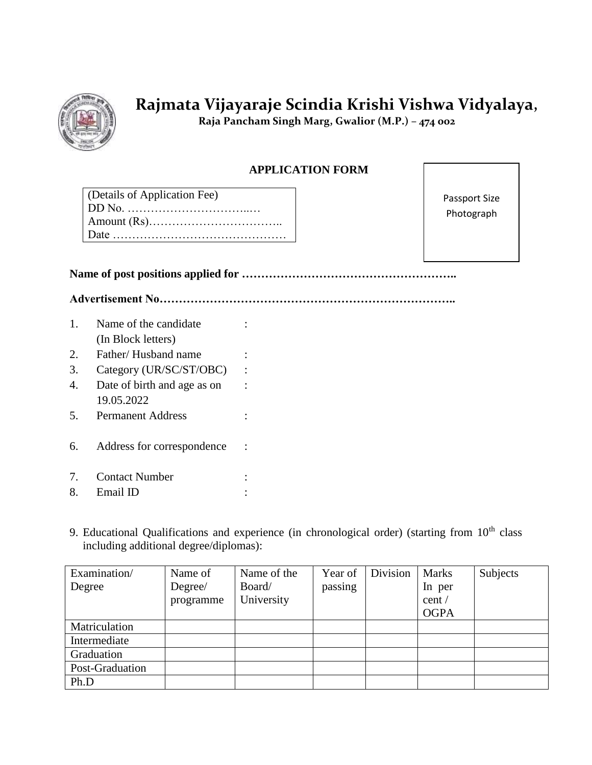

# **Rajmata Vijayaraje Scindia Krishi Vishwa Vidyalaya,**

 **Raja Pancham Singh Marg, Gwalior (M.P.) – 474 002**

### **APPLICATION FORM**

| (Details of Application Fee) |
|------------------------------|
|                              |
|                              |
|                              |

Passport Size Photograph

**Name of post positions applied for ………………………………………………..**

**Advertisement No…………………………………………………………………..**

- 1. Name of the candidate (In Block letters) : 2. Father/Husband name : 3. Category (UR/SC/ST/OBC) : 4. Date of birth and age as on 19.05.2022 : 5. Permanent Address : 6. Address for correspondence :
- 7. Contact Number :
- 8. Email ID :
- 9. Educational Qualifications and experience (in chronological order) (starting from  $10<sup>th</sup>$  class including additional degree/diplomas):

| Examination/    | Name of   | Name of the | Year of | Division | <b>Marks</b> | Subjects |
|-----------------|-----------|-------------|---------|----------|--------------|----------|
| Degree          | Degree/   | Board/      | passing |          | In per       |          |
|                 | programme | University  |         |          | cent/        |          |
|                 |           |             |         |          | <b>OGPA</b>  |          |
| Matriculation   |           |             |         |          |              |          |
| Intermediate    |           |             |         |          |              |          |
| Graduation      |           |             |         |          |              |          |
| Post-Graduation |           |             |         |          |              |          |
| Ph.D            |           |             |         |          |              |          |